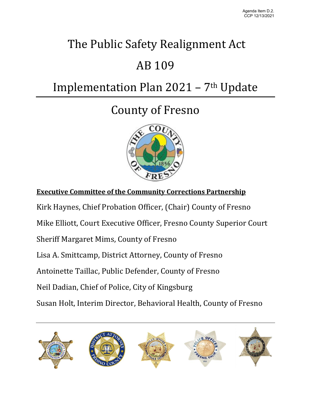# The Public Safety Realignment Act

## AB 109

# Implementation Plan 2021 - 7<sup>th</sup> Update

## County of Fresno



**Executive Committee of the Community Corrections Partnership**

Kirk Haynes, Chief Probation Officer, (Chair) County of Fresno

Mike Elliott, Court Executive Officer, Fresno County Superior Court

Sheriff Margaret Mims, County of Fresno

Lisa A. Smittcamp, District Attorney, County of Fresno

Antoinette Taillac, Public Defender, County of Fresno

Neil Dadian, Chief of Police, City of Kingsburg

Susan Holt, Interim Director, Behavioral Health, County of Fresno

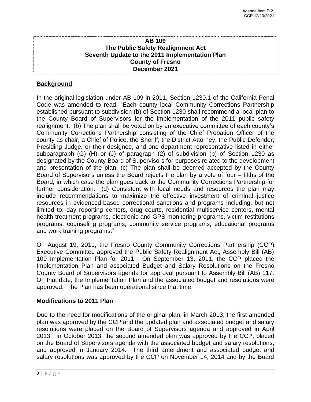## **AB 109 The Public Safety Realignment Act Seventh Update to the 2011 Implementation Plan County of Fresno December 2021**

## **Background**

In the original legislation under AB 109 in 2011, Section 1230.1 of the California Penal Code was amended to read, "Each county local Community Corrections Partnership established pursuant to subdivision (b) of Section 1230 shall recommend a local plan to the County Board of Supervisors for the implementation of the 2011 public safety realignment. (b) The plan shall be voted on by an executive committee of each county's Community Corrections Partnership consisting of the Chief Probation Officer of the county as chair, a Chief of Police, the Sheriff, the District Attorney, the Public Defender, Presiding Judge, or their designee, and one department representative listed in either subparagraph (G) (H) or (J) of paragraph (2) of subdivision (b) of Section 1230 as designated by the County Board of Supervisors for purposes related to the development and presentation of the plan. (c) The plan shall be deemed accepted by the County Board of Supervisors unless the Board rejects the plan by a vote of four – fifths of the Board, in which case the plan goes back to the Community Corrections Partnership for further consideration. (d) Consistent with local needs and resources the plan may include recommendations to maximize the effective investment of criminal justice resources in evidenced-based correctional sanctions and programs including, but not limited to: day reporting centers, drug courts, residential multiservice centers, mental health treatment programs, electronic and GPS monitoring programs, victim restitutions programs, counseling programs, community service programs, educational programs and work training programs."

On August 19, 2011, the Fresno County Community Corrections Partnership (CCP) Executive Committee approved the Public Safety Realignment Act, Assembly Bill (AB) 109 Implementation Plan for 2011. On September 13, 2011, the CCP placed the Implementation Plan and associated Budget and Salary Resolutions on the Fresno County Board of Supervisors agenda for approval pursuant to Assembly Bill (AB) 117. On that date, the Implementation Plan and the associated budget and resolutions were approved. The Plan has been operational since that time.

### **Modifications to 2011 Plan**

Due to the need for modifications of the original plan, in March 2013, the first amended plan was approved by the CCP and the updated plan and associated budget and salary resolutions were placed on the Board of Supervisors agenda and approved in April 2013. In October 2013, the second amended plan was approved by the CCP, placed on the Board of Supervisors agenda with the associated budget and salary resolutions, and approved in January 2014. The third amendment and associated budget and salary resolutions was approved by the CCP on November 14, 2014 and by the Board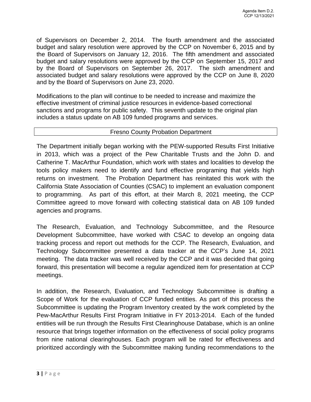of Supervisors on December 2, 2014. The fourth amendment and the associated budget and salary resolution were approved by the CCP on November 6, 2015 and by the Board of Supervisors on January 12, 2016. The fifth amendment and associated budget and salary resolutions were approved by the CCP on September 15, 2017 and by the Board of Supervisors on September 26, 2017. The sixth amendment and associated budget and salary resolutions were approved by the CCP on June 8, 2020 and by the Board of Supervisors on June 23, 2020.

Modifications to the plan will continue to be needed to increase and maximize the effective investment of criminal justice resources in evidence-based correctional sanctions and programs for public safety. This seventh update to the original plan includes a status update on AB 109 funded programs and services.

### Fresno County Probation Department

The Department initially began working with the PEW-supported Results First Initiative in 2013, which was a project of the Pew Charitable Trusts and the John D. and Catherine T. MacArthur Foundation, which work with states and localities to develop the tools policy makers need to identify and fund effective programing that yields high returns on investment. The Probation Department has reinitated this work with the California State Association of Counties (CSAC) to implement an evaluation component to programming. As part of this effort, at their March 8, 2021 meeting, the CCP Committee agreed to move forward with collecting statistical data on AB 109 funded agencies and programs.

The Research, Evaluation, and Technology Subcommittee, and the Resource Development Subcommittee, have worked with CSAC to develop an ongoing data tracking process and report out methods for the CCP. The Research, Evaluation, and Technology Subcommittee presented a data tracker at the CCP's June 14, 2021 meeting. The data tracker was well received by the CCP and it was decided that going forward, this presentation will become a regular agendized item for presentation at CCP meetings.

In addition, the Research, Evaluation, and Technology Subcommittee is drafting a Scope of Work for the evaluation of CCP funded entities. As part of this process the Subcommittee is updating the Program Inventory created by the work completed by the Pew-MacArthur Results First Program Initiative in FY 2013-2014. Each of the funded entities will be run through the Results First Clearinghouse Database, which is an online resource that brings together information on the effectiveness of social policy programs from nine national clearinghouses. Each program will be rated for effectiveness and prioritized accordingly with the Subcommittee making funding recommendations to the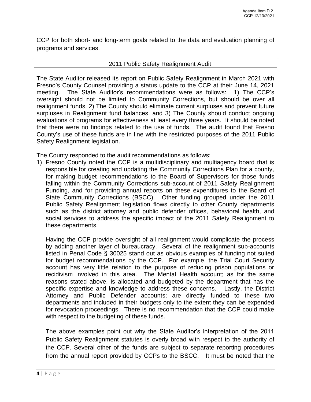CCP for both short- and long-term goals related to the data and evaluation planning of programs and services.

### 2011 Public Safety Realignment Audit

The State Auditor released its report on Public Safety Realignment in March 2021 with Fresno's County Counsel providing a status update to the CCP at their June 14, 2021 meeting. The State Auditor's recommendations were as follows: 1) The CCP's oversight should not be limited to Community Corrections, but should be over all realignment funds, 2) The County should eliminate current surpluses and prevent future surpluses in Realignment fund balances, and 3) The County should conduct ongoing evaluations of programs for effectiveness at least every three years. It should be noted that there were no findings related to the use of funds. The audit found that Fresno County's use of these funds are in line with the restricted purposes of the 2011 Public Safety Realignment legislation.

The County responded to the audit recommendations as follows:

1) Fresno County noted the CCP is a multidisciplinary and multiagency board that is responsible for creating and updating the Community Corrections Plan for a county, for making budget recommendations to the Board of Supervisors for those funds falling within the Community Corrections sub-account of 2011 Safety Realignment Funding, and for providing annual reports on these expenditures to the Board of State Community Corrections (BSCC). Other funding grouped under the 2011 Public Safety Realignment legislation flows directly to other County departments such as the district attorney and public defender offices, behavioral health, and social services to address the specific impact of the 2011 Safety Realignment to these departments.

Having the CCP provide oversight of all realignment would complicate the process by adding another layer of bureaucracy. Several of the realignment sub-accounts listed in Penal Code § 30025 stand out as obvious examples of funding not suited for budget recommendations by the CCP. For example, the Trial Court Security account has very little relation to the purpose of reducing prison populations or recidivism involved in this area. The Mental Health account; as for the same reasons stated above, is allocated and budgeted by the department that has the specific expertise and knowledge to address these concerns. Lastly, the District Attorney and Public Defender accounts; are directly funded to these two departments and included in their budgets only to the extent they can be expended for revocation proceedings. There is no recommendation that the CCP could make with respect to the budgeting of these funds.

The above examples point out why the State Auditor's interpretation of the 2011 Public Safety Realignment statutes is overly broad with respect to the authority of the CCP. Several other of the funds are subject to separate reporting procedures from the annual report provided by CCPs to the BSCC. It must be noted that the